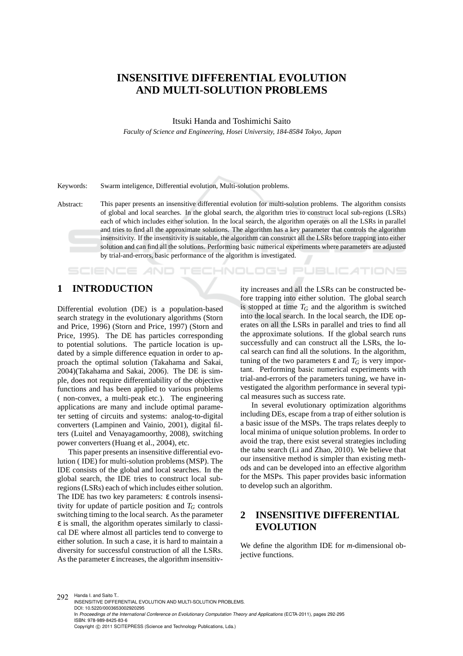# **INSENSITIVE DIFFERENTIAL EVOLUTION AND MULTI-SOLUTION PROBLEMS**

Itsuki Handa and Toshimichi Saito

*Faculty of Science and Engineering, Hosei University, 184-8584 Tokyo, Japan*

Keywords: Swarm inteligence, Differential evolution, Multi-solution problems.

Abstract: This paper presents an insensitive differential evolution for multi-solution problems. The algorithm consists of global and local searches. In the global search, the algorithm tries to construct local sub-regions (LSRs) each of which includes either solution. In the local search, the algorithm operates on all the LSRs in parallel and tries to find all the approximate solutions. The algorithm has a key parameter that controls the algorithm insensitivity. If the insensitivity is suitable, the algorithm can construct all the LSRs before trapping into either solution and can find all the solutions. Performing basic numerical experiments where parameters are adjusted by trial-and-errors, basic performance of the algorithm is investigated.

## **1 INTRODUCTION**

**SCIENCE AND** 

Differential evolution (DE) is a population-based search strategy in the evolutionary algorithms (Storn and Price, 1996) (Storn and Price, 1997) (Storn and Price, 1995). The DE has particles corresponding to potential solutions. The particle location is updated by a simple difference equation in order to approach the optimal solution (Takahama and Sakai, 2004)(Takahama and Sakai, 2006). The DE is simple, does not require differentiability of the objective functions and has been applied to various problems ( non-convex, a multi-peak etc.). The engineering applications are many and include optimal parameter setting of circuits and systems: analog-to-digital converters (Lampinen and Vainio, 2001), digital filters (Luitel and Venayagamoorthy, 2008), switching power converters (Huang et al., 2004), etc.

This paper presents an insensitive differential evolution ( IDE) for multi-solution problems (MSP). The IDE consists of the global and local searches. In the global search, the IDE tries to construct local subregions (LSRs) each of which includes either solution. The IDE has two key parameters: ε controls insensitivity for update of particle position and *T<sup>G</sup>* controls switching timing to the local search. As the parameter ε is small, the algorithm operates similarly to classical DE where almost all particles tend to converge to either solution. In such a case, it is hard to maintain a diversity for successful construction of all the LSRs. As the parameter  $\varepsilon$  increases, the algorithm insensitivity increases and all the LSRs can be constructed before trapping into either solution. The global search is stopped at time  $T_G$  and the algorithm is switched into the local search. In the local search, the IDE operates on all the LSRs in parallel and tries to find all the approximate solutions. If the global search runs successfully and can construct all the LSRs, the local search can find all the solutions. In the algorithm, tuning of the two parameters  $\varepsilon$  and  $T_G$  is very important. Performing basic numerical experiments with trial-and-errors of the parameters tuning, we have investigated the algorithm performance in several typical measures such as success rate.

TECHNOLOGY PUBLIC ATIONS

In several evolutionary optimization algorithms including DEs, escape from a trap of either solution is a basic issue of the MSPs. The traps relates deeply to local minima of unique solution problems. In order to avoid the trap, there exist several strategies including the tabu search (Li and Zhao, 2010). We believe that our insensitive method is simpler than existing methods and can be developed into an effective algorithm for the MSPs. This paper provides basic information to develop such an algorithm.

## **2 INSENSITIVE DIFFERENTIAL EVOLUTION**

We define the algorithm IDE for *m*-dimensional objective functions.

292 Handa I. and Saito T. INSENSITIVE DIFFERENTIAL EVOLUTION AND MULTI-SOLUTION PROBLEMS. DOI: 10.5220/0003653002920295 In *Proceedings of the International Conference on Evolutionary Computation Theory and Applications* (ECTA-2011), pages 292-295 ISBN: 978-989-8425-83-6 Copyright © 2011 SCITEPRESS (Science and Technology Publications, Lda.)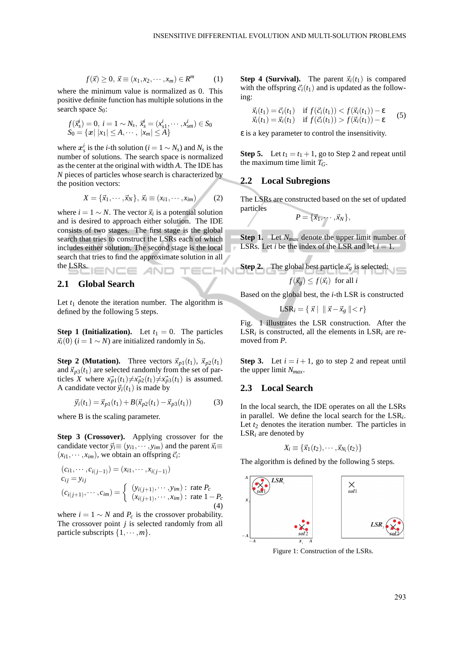$$
f(\vec{x}) \ge 0, \ \vec{x} \equiv (x_1, x_2, \cdots, x_m) \in R^m \tag{1}
$$

where the minimum value is normalized as 0. This positive definite function has multiple solutions in the search space *S*<sub>0</sub>:

$$
f(\vec{x}_s^i) = 0, \ i = 1 \sim N_s, \ \vec{x}_s^i = (x_{s1}^i, \cdots, x_{sm}^i) \in S_0 S_0 = \{x \mid |x_1| \le A, \cdots, |x_m| \le A\}
$$

where  $x_s^i$  is the *i*-th solution (*i* = 1 ∼ *N<sub>s</sub>*) and *N<sub>s</sub>* is the number of solutions. The search space is normalized as the center at the original with width *A*. The IDE has *N* pieces of particles whose search is characterized by the position vectors:

$$
X = \{\vec{x}_1, \cdots, \vec{x}_N\}, \ \vec{x}_i \equiv (x_{i1}, \cdots, x_{im}) \tag{2}
$$

where  $i = 1 \sim N$ . The vector  $\vec{x}_i$  is a potential solution and is desired to approach either solution. The IDE consists of two stages. The first stage is the global search that tries to construct the LSRs each of which includes either solution. The second stage is the local search that tries to find the approximate solution in all the LSRs. **IENCE** 

### **2.1 Global Search**

Let  $t_1$  denote the iteration number. The algorithm is defined by the following 5 steps.

**Step 1 (Initialization).** Let  $t_1 = 0$ . The particles  $\vec{x}_i(0)$  (*i* = 1 ∼ *N*) are initialized randomly in *S*<sub>0</sub>.

**Step 2 (Mutation).** Three vectors  $\vec{x}_{p1}(t_1)$ ,  $\vec{x}_{p2}(t_1)$ and  $\vec{x}_{p3}(t_1)$  are selected randomly from the set of particles *X* where  $x_{p1}^+(t_1) \neq x_{p2}^-(t_1) \neq x_{p3}^-(t_1)$  is assumed. A candidate vector  $\vec{y}_i(t_1)$  is made by

$$
\vec{y}_i(t_1) = \vec{x}_{p1}(t_1) + B(\vec{x}_{p2}(t_1) - \vec{x}_{p3}(t_1))
$$
 (3)

where B is the scaling parameter.

**Step 3 (Crossover).** Applying crossover for the candidate vector  $\vec{y}_i \equiv (y_{i1}, \dots, y_{im})$  and the parent  $\vec{x}_i \equiv$  $(x_{i1}, \dots, x_{im})$ , we obtain an offspring  $\vec{c}_i$ :

$$
(c_{i1}, \dots, c_{i(j-1)}) = (x_{i1}, \dots, x_{i(j-1)})
$$
  
\n
$$
c_{ij} = y_{ij}
$$
  
\n
$$
(c_{i(j+1)}, \dots, c_{im}) = \begin{cases} (y_{i(j+1)}, \dots, y_{im}) : \text{rate } P_c \\ (x_{i(j+1)}, \dots, x_{im}) : \text{rate } 1 - P_c \end{cases}
$$
  
\n(4)

where  $i = 1 \sim N$  and  $P_c$  is the crossover probability. The crossover point *j* is selected randomly from all particle subscripts  $\{1, \cdots, m\}$ .

**Step 4 (Survival).** The parent  $\vec{x}_i(t_1)$  is compared with the offspring  $\vec{c}_i(t_1)$  and is updated as the following:

$$
\vec{x}_i(t_1) = \vec{c}_i(t_1) \quad \text{if } f(\vec{c}_i(t_1)) < f(\vec{x}_i(t_1)) - \varepsilon \\
\vec{x}_i(t_1) = \vec{x}_i(t_1) \quad \text{if } f(\vec{c}_i(t_1)) > f(\vec{x}_i(t_1)) - \varepsilon\n\tag{5}
$$

 $\epsilon$  is a key parameter to control the insensitivity.

**Step 5.** Let  $t_1 = t_1 + 1$ , go to Step 2 and repeat until the maximum time limit *TG*.

### **2.2 Local Subregions**

The LSRs are constructed based on the set of updated particles

$$
P=\{\vec{x}_1,\cdots,\vec{x}_N\},\
$$

**Step 1.** Let *Nmax* denote the upper limit number of LSRs. Let *i* be the index of the LSR and let  $i = 1$ .

**Step 2.** The global best particle 
$$
\vec{x_g}
$$
 is selected:  
 $f(\vec{x_g}) \le f(\vec{x_i})$  for all *i*

Based on the global best, the *i*-th LSR is constructed

$$
\text{LSR}_i = \{ \vec{x} \mid \parallel \vec{x} - \vec{x}_g \parallel < r \}
$$

Fig. 1 illustrates the LSR construction. After the  $LSR_i$  is constructed, all the elements in  $LSR_i$  are removed from *P*.

**Step 3.** Let  $i = i + 1$ , go to step 2 and repeat until the upper limit *Nmax*.

### **2.3 Local Search**

In the local search, the IDE operates on all the LSRs in parallel. We define the local search for the LSR*<sup>i</sup>* . Let  $t_2$  denotes the iteration number. The particles in LSR*<sup>i</sup>* are denoted by

$$
X_i \equiv \{\vec{x}_1(t_2), \cdots, \vec{x}_{N_i}(t_2)\}
$$

The algorithm is defined by the following 5 steps.



Figure 1: Construction of the LSRs.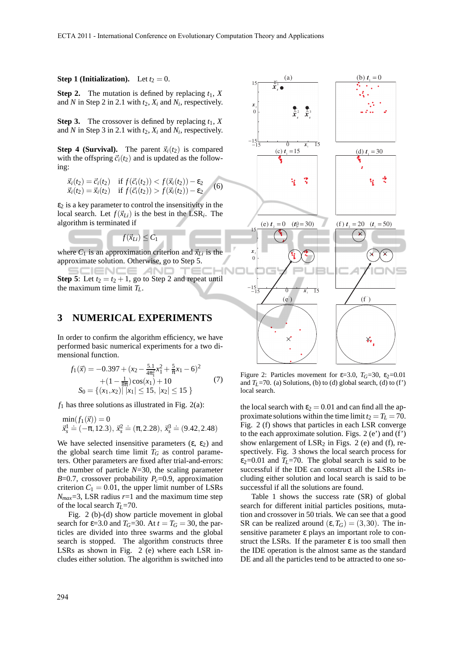#### **Step 1 (Initialization).** Let  $t_2 = 0$ .

**Step 2.** The mutation is defined by replacing  $t_1$ ,  $X$ and *N* in Step 2 in 2.1 with *t*2, *X<sup>i</sup>* and *N<sup>i</sup>* , respectively.

**Step 3.** The crossover is defined by replacing  $t_1$ ,  $X$ and *N* in Step 3 in 2.1 with  $t_2$ ,  $X_i$  and  $N_i$ , respectively.

**Step 4 (Survival).** The parent  $\vec{x}_i(t_2)$  is compared with the offspring  $\vec{c}_i(t_2)$  and is updated as the following:

$$
\vec{x}_i(t_2) = \vec{c}_i(t_2) \quad \text{if } f(\vec{c}_i(t_2)) < f(\vec{x}_i(t_2)) - \varepsilon_2 \\
\vec{x}_i(t_2) = \vec{x}_i(t_2) \quad \text{if } f(\vec{c}_i(t_2)) > f(\vec{x}_i(t_2)) - \varepsilon_2\n\tag{6}
$$

 $\varepsilon_2$  is a key parameter to control the insensitivity in the local search. Let  $f(\vec{x}_{Li})$  is the best in the LSR<sub>*i*</sub>. The algorithm is terminated if

 $f(\vec{x}_{Li}) \leq C_1$ 

where  $C_1$  is an approximation criterion and  $\vec{x}_{Li}$  is the approximate solution. Otherwise, go to Step 5.

**JENCE AND Step 5**: Let  $t_2 = t_2 + 1$ , go to Step 2 and repeat until the maximum time limit *TL*.

### **3 NUMERICAL EXPERIMENTS**

In order to confirm the algorithm efficiency, we have performed basic numerical experiments for a two dimensional function.

$$
f_1(\vec{x}) = -0.397 + (x_2 - \frac{5.1}{4\pi_1^2}x_1^2 + \frac{5}{\pi}x_1 - 6)^2
$$
  
+ 
$$
(1 - \frac{1}{8\pi})\cos(x_1) + 10
$$
  

$$
S_0 = \{(x_1, x_2) | |x_1| \le 15, |x_2| \le 15 \}
$$
 (7)

 $f_1$  has three solutions as illustrated in Fig. 2(a):

$$
\min(f_1(\vec{x})) = 0
$$
  
 $\vec{x}_s^1 \doteq (-\pi, 12.3), \ \vec{x}_s^2 \doteq (\pi, 2.28), \ \vec{x}_s^3 \doteq (9.42, 2.48)$ 

We have selected insensitive parameters  $(\epsilon, \epsilon_2)$  and the global search time limit  $T_G$  as control parameters. Other parameters are fixed after trial-and-errors: the number of particle *N*=30, the scaling parameter *B*=0.7, crossover probability  $P_c$ =0.9, approximation criterion  $C_1 = 0.01$ , the upper limit number of LSRs  $N_{max}$ =3, LSR radius  $r=1$  and the maximum time step of the local search *TL*=70.

Fig. 2 (b)-(d) show particle movement in global search for  $\varepsilon$ =3.0 and  $T$ <sup>*G*</sup>=30. At  $t = T$ <sup>*G*</sup> = 30, the particles are divided into three swarms and the global search is stopped. The algorithm constructs three LSRs as shown in Fig. 2 (e) where each LSR includes either solution. The algorithm is switched into



Figure 2: Particles movement for  $\varepsilon$ =3.0,  $T$ <sup>*G*=30</sup>,  $\varepsilon$ <sub>2</sub>=0.01</sub> and  $T_L$ =70. (a) Solutions, (b) to (d) global search, (d) to (f') local search.

the local search with  $\varepsilon_2 = 0.01$  and can find all the approximate solutions within the time limit  $t_2 = T_L = 70$ . Fig. 2 (f) shows that particles in each LSR converge to the each approximate solution. Figs.  $2(e')$  and  $(f')$ show enlargement of  $LSR_2$  in Figs. 2 (e) and (f), respectively. Fig. 3 shows the local search process for  $\varepsilon_2$ =0.01 and  $T_L$ =70. The global search is said to be successful if the IDE can construct all the LSRs including either solution and local search is said to be successful if all the solutions are found.

Table 1 shows the success rate (SR) of global search for different initial particles positions, mutation and crossover in 50 trials. We can see that a good SR can be realized around  $(\epsilon, T_G) = (3, 30)$ . The insensitive parameter ε plays an important role to construct the LSRs. If the parameter  $\varepsilon$  is too small then the IDE operation is the almost same as the standard DE and all the particles tend to be attracted to one so-